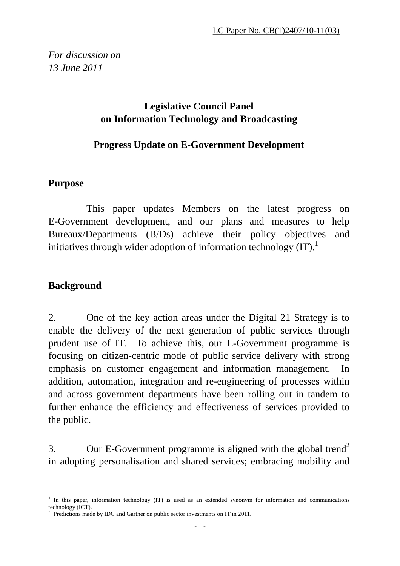*For discussion on 13 June 2011* 

## **Legislative Council Panel on Information Technology and Broadcasting**

## **Progress Update on E-Government Development**

#### **Purpose**

 This paper updates Members on the latest progress on E-Government development, and our plans and measures to help Bureaux/Departments (B/Ds) achieve their policy objectives and initiatives through wider adoption of information technology  $(IT)$ .<sup>1</sup>

# **Background**

2. One of the key action areas under the Digital 21 Strategy is to enable the delivery of the next generation of public services through prudent use of IT. To achieve this, our E-Government programme is focusing on citizen-centric mode of public service delivery with strong emphasis on customer engagement and information management. In addition, automation, integration and re-engineering of processes within and across government departments have been rolling out in tandem to further enhance the efficiency and effectiveness of services provided to the public.

3. Our E-Government programme is aligned with the global trend<sup>2</sup> in adopting personalisation and shared services; embracing mobility and

 $\overline{a}$ <sup>1</sup> In this paper, information technology (IT) is used as an extended synonym for information and communications technology (ICT).

<sup>&</sup>lt;sup>2</sup> Predictions made by IDC and Gartner on public sector investments on IT in 2011.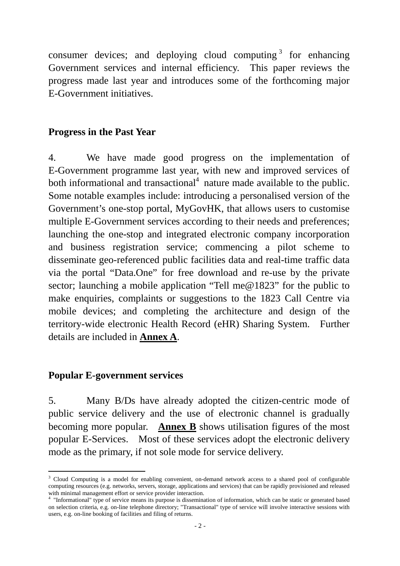consumer devices; and deploying cloud computing  $3$  for enhancing Government services and internal efficiency. This paper reviews the progress made last year and introduces some of the forthcoming major E-Government initiatives.

#### **Progress in the Past Year**

4. We have made good progress on the implementation of E-Government programme last year, with new and improved services of both informational and transactional<sup>4</sup> nature made available to the public. Some notable examples include: introducing a personalised version of the Government's one-stop portal, MyGovHK, that allows users to customise multiple E-Government services according to their needs and preferences; launching the one-stop and integrated electronic company incorporation and business registration service; commencing a pilot scheme to disseminate geo-referenced public facilities data and real-time traffic data via the portal "Data.One" for free download and re-use by the private sector; launching a mobile application "Tell me@1823" for the public to make enquiries, complaints or suggestions to the 1823 Call Centre via mobile devices; and completing the architecture and design of the territory-wide electronic Health Record (eHR) Sharing System.Further details are included in **Annex A**.

#### **Popular E-government services**

 $\overline{a}$ 

5. Many B/Ds have already adopted the citizen-centric mode of public service delivery and the use of electronic channel is gradually becoming more popular. **Annex B** shows utilisation figures of the most popular E-Services. Most of these services adopt the electronic delivery mode as the primary, if not sole mode for service delivery.

<sup>&</sup>lt;sup>3</sup> Cloud Computing is a model for enabling convenient, on-demand network access to a shared pool of configurable computing resources (e.g. networks, servers, storage, applications and services) that can be rapidly provisioned and released with minimal management effort or service provider interaction.

<sup>4</sup> "Informational" type of service means its purpose is dissemination of information, which can be static or generated based on selection criteria, e.g. on-line telephone directory; "Transactional" type of service will involve interactive sessions with users, e.g. on-line booking of facilities and filing of returns.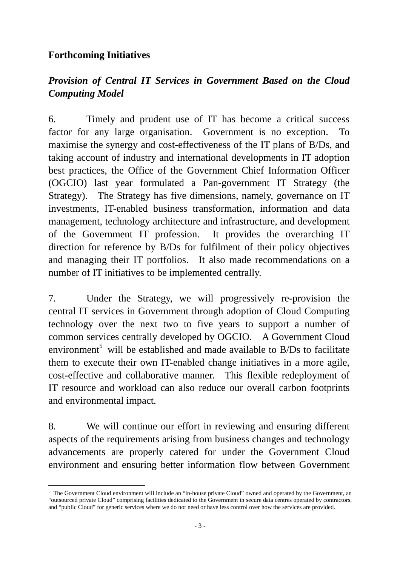### **Forthcoming Initiatives**

 $\overline{a}$ 

# *Provision of Central IT Services in Government Based on the Cloud Computing Model*

6. Timely and prudent use of IT has become a critical success factor for any large organisation. Government is no exception. To maximise the synergy and cost-effectiveness of the IT plans of B/Ds, and taking account of industry and international developments in IT adoption best practices, the Office of the Government Chief Information Officer (OGCIO) last year formulated a Pan-government IT Strategy (the Strategy). The Strategy has five dimensions, namely, governance on IT investments, IT-enabled business transformation, information and data management, technology architecture and infrastructure, and development of the Government IT profession. It provides the overarching IT direction for reference by B/Ds for fulfilment of their policy objectives and managing their IT portfolios. It also made recommendations on a number of IT initiatives to be implemented centrally.

7. Under the Strategy, we will progressively re-provision the central IT services in Government through adoption of Cloud Computing technology over the next two to five years to support a number of common services centrally developed by OGCIO. A Government Cloud environment<sup>5</sup> will be established and made available to  $B/Ds$  to facilitate them to execute their own IT-enabled change initiatives in a more agile, cost-effective and collaborative manner. This flexible redeployment of IT resource and workload can also reduce our overall carbon footprints and environmental impact.

8. We will continue our effort in reviewing and ensuring different aspects of the requirements arising from business changes and technology advancements are properly catered for under the Government Cloud environment and ensuring better information flow between Government

 $5$  The Government Cloud environment will include an "in-house private Cloud" owned and operated by the Government, an "outsourced private Cloud" comprising facilities dedicated to the Government in secure data centres operated by contractors, and "public Cloud" for generic services where we do not need or have less control over how the services are provided.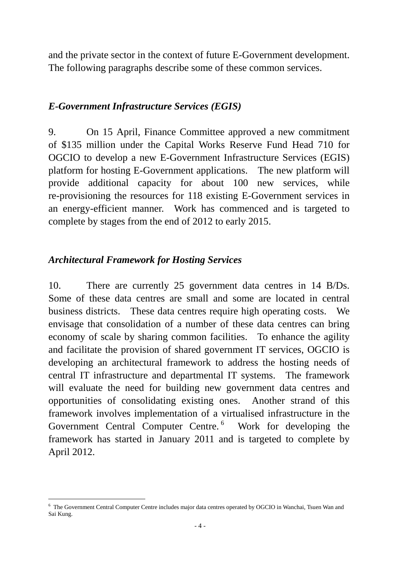and the private sector in the context of future E-Government development. The following paragraphs describe some of these common services.

#### *E-Government Infrastructure Services (EGIS)*

9. On 15 April, Finance Committee approved a new commitment of \$135 million under the Capital Works Reserve Fund Head 710 for OGCIO to develop a new E-Government Infrastructure Services (EGIS) platform for hosting E-Government applications. The new platform will provide additional capacity for about 100 new services, while re-provisioning the resources for 118 existing E-Government services in an energy-efficient manner. Work has commenced and is targeted to complete by stages from the end of 2012 to early 2015.

#### *Architectural Framework for Hosting Services*

10. There are currently 25 government data centres in 14 B/Ds. Some of these data centres are small and some are located in central business districts. These data centres require high operating costs. We envisage that consolidation of a number of these data centres can bring economy of scale by sharing common facilities. To enhance the agility and facilitate the provision of shared government IT services, OGCIO is developing an architectural framework to address the hosting needs of central IT infrastructure and departmental IT systems. The framework will evaluate the need for building new government data centres and opportunities of consolidating existing ones. Another strand of this framework involves implementation of a virtualised infrastructure in the Government Central Computer Centre.<sup>6</sup> Work for developing the framework has started in January 2011 and is targeted to complete by April 2012.

 $\overline{a}$ 6 The Government Central Computer Centre includes major data centres operated by OGCIO in Wanchai, Tsuen Wan and Sai Kung.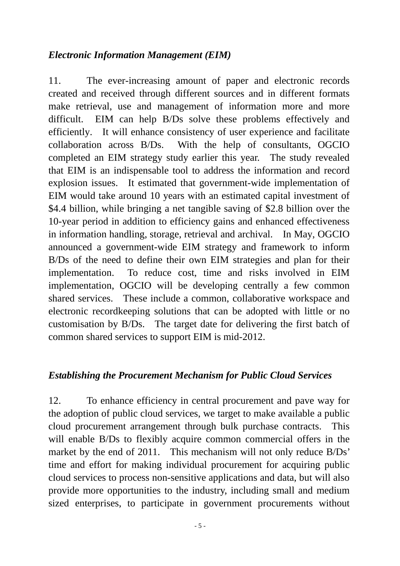#### *Electronic Information Management (EIM)*

11. The ever-increasing amount of paper and electronic records created and received through different sources and in different formats make retrieval, use and management of information more and more difficult. EIM can help B/Ds solve these problems effectively and efficiently. It will enhance consistency of user experience and facilitate collaboration across B/Ds. With the help of consultants, OGCIO completed an EIM strategy study earlier this year. The study revealed that EIM is an indispensable tool to address the information and record explosion issues. It estimated that government-wide implementation of EIM would take around 10 years with an estimated capital investment of \$4.4 billion, while bringing a net tangible saving of \$2.8 billion over the 10-year period in addition to efficiency gains and enhanced effectiveness in information handling, storage, retrieval and archival. In May, OGCIO announced a government-wide EIM strategy and framework to inform B/Ds of the need to define their own EIM strategies and plan for their implementation. To reduce cost, time and risks involved in EIM implementation, OGCIO will be developing centrally a few common shared services. These include a common, collaborative workspace and electronic recordkeeping solutions that can be adopted with little or no customisation by B/Ds. The target date for delivering the first batch of common shared services to support EIM is mid-2012.

#### *Establishing the Procurement Mechanism for Public Cloud Services*

12. To enhance efficiency in central procurement and pave way for the adoption of public cloud services, we target to make available a public cloud procurement arrangement through bulk purchase contracts. This will enable B/Ds to flexibly acquire common commercial offers in the market by the end of 2011. This mechanism will not only reduce B/Ds' time and effort for making individual procurement for acquiring public cloud services to process non-sensitive applications and data, but will also provide more opportunities to the industry, including small and medium sized enterprises, to participate in government procurements without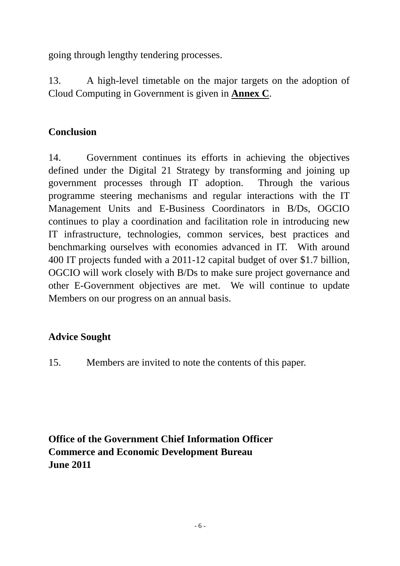going through lengthy tendering processes.

13. A high-level timetable on the major targets on the adoption of Cloud Computing in Government is given in **Annex C**.

## **Conclusion**

14. Government continues its efforts in achieving the objectives defined under the Digital 21 Strategy by transforming and joining up government processes through IT adoption. Through the various programme steering mechanisms and regular interactions with the IT Management Units and E-Business Coordinators in B/Ds, OGCIO continues to play a coordination and facilitation role in introducing new IT infrastructure, technologies, common services, best practices and benchmarking ourselves with economies advanced in IT. With around 400 IT projects funded with a 2011-12 capital budget of over \$1.7 billion, OGCIO will work closely with B/Ds to make sure project governance and other E-Government objectives are met. We will continue to update Members on our progress on an annual basis.

# **Advice Sought**

15. Members are invited to note the contents of this paper.

**Office of the Government Chief Information Officer Commerce and Economic Development Bureau June 2011**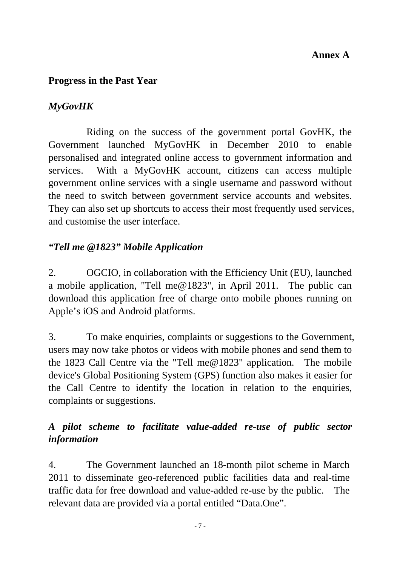### **Annex A**

### **Progress in the Past Year**

### *MyGovHK*

 Riding on the success of the government portal GovHK, the Government launched MyGovHK in December 2010 to enable personalised and integrated online access to government information and services. With a MyGovHK account, citizens can access multiple government online services with a single username and password without the need to switch between government service accounts and websites. They can also set up shortcuts to access their most frequently used services, and customise the user interface.

## *"Tell me @1823" Mobile Application*

2. OGCIO, in collaboration with the Efficiency Unit (EU), launched a mobile application, "Tell me@1823", in April 2011. The public can download this application free of charge onto mobile phones running on Apple's iOS and Android platforms.

3. To make enquiries, complaints or suggestions to the Government, users may now take photos or videos with mobile phones and send them to the 1823 Call Centre via the "Tell me@1823" application. The mobile device's Global Positioning System (GPS) function also makes it easier for the Call Centre to identify the location in relation to the enquiries, complaints or suggestions.

# *A pilot scheme to facilitate value-added re-use of public sector information*

4. The Government launched an 18-month pilot scheme in March 2011 to disseminate geo-referenced public facilities data and real-time traffic data for free download and value-added re-use by the public. The relevant data are provided via a portal entitled "Data.One".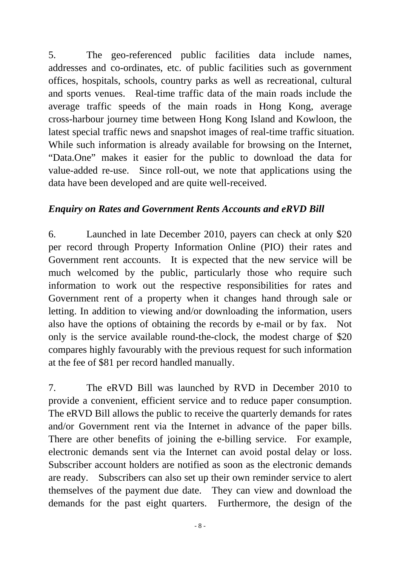5. The geo-referenced public facilities data include names, addresses and co-ordinates, etc. of public facilities such as government offices, hospitals, schools, country parks as well as recreational, cultural and sports venues. Real-time traffic data of the main roads include the average traffic speeds of the main roads in Hong Kong, average cross-harbour journey time between Hong Kong Island and Kowloon, the latest special traffic news and snapshot images of real-time traffic situation. While such information is already available for browsing on the Internet, "Data.One" makes it easier for the public to download the data for value-added re-use. Since roll-out, we note that applications using the data have been developed and are quite well-received.

## *Enquiry on Rates and Government Rents Accounts and eRVD Bill*

6. Launched in late December 2010, payers can check at only \$20 per record through Property Information Online (PIO) their rates and Government rent accounts. It is expected that the new service will be much welcomed by the public, particularly those who require such information to work out the respective responsibilities for rates and Government rent of a property when it changes hand through sale or letting. In addition to viewing and/or downloading the information, users also have the options of obtaining the records by e-mail or by fax. Not only is the service available round-the-clock, the modest charge of \$20 compares highly favourably with the previous request for such information at the fee of \$81 per record handled manually.

7. The eRVD Bill was launched by RVD in December 2010 to provide a convenient, efficient service and to reduce paper consumption. The eRVD Bill allows the public to receive the quarterly demands for rates and/or Government rent via the Internet in advance of the paper bills. There are other benefits of joining the e-billing service. For example, electronic demands sent via the Internet can avoid postal delay or loss. Subscriber account holders are notified as soon as the electronic demands are ready. Subscribers can also set up their own reminder service to alert themselves of the payment due date. They can view and download the demands for the past eight quarters. Furthermore, the design of the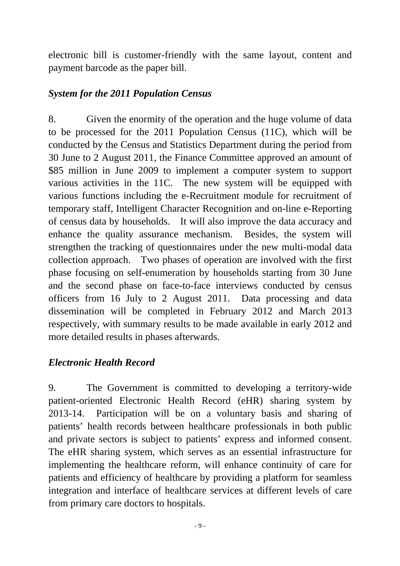electronic bill is customer-friendly with the same layout, content and payment barcode as the paper bill.

### *System for the 2011 Population Census*

8. Given the enormity of the operation and the huge volume of data to be processed for the 2011 Population Census (11C), which will be conducted by the Census and Statistics Department during the period from 30 June to 2 August 2011, the Finance Committee approved an amount of \$85 million in June 2009 to implement a computer system to support various activities in the 11C. The new system will be equipped with various functions including the e-Recruitment module for recruitment of temporary staff, Intelligent Character Recognition and on-line e-Reporting of census data by households. It will also improve the data accuracy and enhance the quality assurance mechanism. Besides, the system will strengthen the tracking of questionnaires under the new multi-modal data collection approach. Two phases of operation are involved with the first phase focusing on self-enumeration by households starting from 30 June and the second phase on face-to-face interviews conducted by census officers from 16 July to 2 August 2011. Data processing and data dissemination will be completed in February 2012 and March 2013 respectively, with summary results to be made available in early 2012 and more detailed results in phases afterwards.

## *Electronic Health Record*

9. The Government is committed to developing a territory-wide patient-oriented Electronic Health Record (eHR) sharing system by 2013-14. Participation will be on a voluntary basis and sharing of patients' health records between healthcare professionals in both public and private sectors is subject to patients' express and informed consent. The eHR sharing system, which serves as an essential infrastructure for implementing the healthcare reform, will enhance continuity of care for patients and efficiency of healthcare by providing a platform for seamless integration and interface of healthcare services at different levels of care from primary care doctors to hospitals.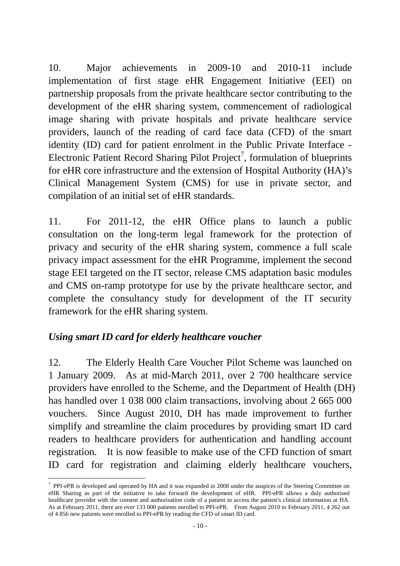10. Major achievements in 2009-10 and 2010-11 include implementation of first stage eHR Engagement Initiative (EEI) on partnership proposals from the private healthcare sector contributing to the development of the eHR sharing system, commencement of radiological image sharing with private hospitals and private healthcare service providers, launch of the reading of card face data (CFD) of the smart identity (ID) card for patient enrolment in the Public Private Interface - Electronic Patient Record Sharing Pilot Project<sup>7</sup>, formulation of blueprints for eHR core infrastructure and the extension of Hospital Authority (HA)'s Clinical Management System (CMS) for use in private sector, and compilation of an initial set of eHR standards.

11. For 2011-12, the eHR Office plans to launch a public consultation on the long-term legal framework for the protection of privacy and security of the eHR sharing system, commence a full scale privacy impact assessment for the eHR Programme, implement the second stage EEI targeted on the IT sector, release CMS adaptation basic modules and CMS on-ramp prototype for use by the private healthcare sector, and complete the consultancy study for development of the IT security framework for the eHR sharing system.

## *Using smart ID card for elderly healthcare voucher*

 $\overline{a}$ 

12. The Elderly Health Care Voucher Pilot Scheme was launched on 1 January 2009. As at mid-March 2011, over 2 700 healthcare service providers have enrolled to the Scheme, and the Department of Health (DH) has handled over 1 038 000 claim transactions, involving about 2 665 000 vouchers. Since August 2010, DH has made improvement to further simplify and streamline the claim procedures by providing smart ID card readers to healthcare providers for authentication and handling account registration. It is now feasible to make use of the CFD function of smart ID card for registration and claiming elderly healthcare vouchers,

 $<sup>7</sup>$  PPI-ePR is developed and operated by HA and it was expanded in 2008 under the auspices of the Steering Committee on</sup> eHR Sharing as part of the initiative to take forward the development of eHR. PPI-ePR allows a duly authorised healthcare provider with the consent and authorisation code of a patient to access the patient's clinical information at HA. As at February 2011, there are over 133 000 patients enrolled to PPI-ePR. From August 2010 to February 2011, 4 262 out of 4 856 new patients were enrolled to PPI-ePR by reading the CFD of smart ID card.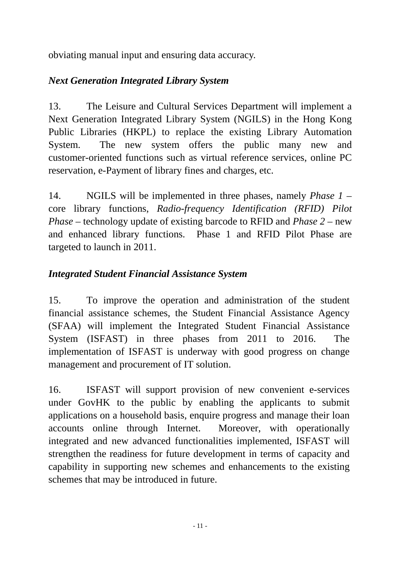obviating manual input and ensuring data accuracy.

# *Next Generation Integrated Library System*

13. The Leisure and Cultural Services Department will implement a Next Generation Integrated Library System (NGILS) in the Hong Kong Public Libraries (HKPL) to replace the existing Library Automation System. The new system offers the public many new and customer-oriented functions such as virtual reference services, online PC reservation, e-Payment of library fines and charges, etc.

14. NGILS will be implemented in three phases, namely *Phase 1* – core library functions, *Radio-frequency Identification (RFID) Pilot Phase* – technology update of existing barcode to RFID and *Phase 2* – new and enhanced library functions. Phase 1 and RFID Pilot Phase are targeted to launch in 2011.

# *Integrated Student Financial Assistance System*

15. To improve the operation and administration of the student financial assistance schemes, the Student Financial Assistance Agency (SFAA) will implement the Integrated Student Financial Assistance System (ISFAST) in three phases from 2011 to 2016. The implementation of ISFAST is underway with good progress on change management and procurement of IT solution.

16. ISFAST will support provision of new convenient e-services under GovHK to the public by enabling the applicants to submit applications on a household basis, enquire progress and manage their loan accounts online through Internet. Moreover, with operationally integrated and new advanced functionalities implemented, ISFAST will strengthen the readiness for future development in terms of capacity and capability in supporting new schemes and enhancements to the existing schemes that may be introduced in future.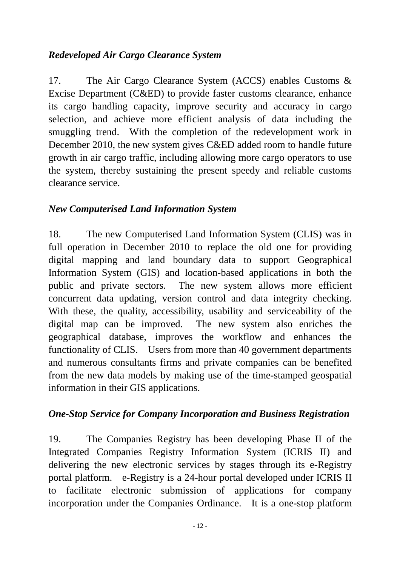## *Redeveloped Air Cargo Clearance System*

17. The Air Cargo Clearance System (ACCS) enables Customs & Excise Department (C&ED) to provide faster customs clearance, enhance its cargo handling capacity, improve security and accuracy in cargo selection, and achieve more efficient analysis of data including the smuggling trend. With the completion of the redevelopment work in December 2010, the new system gives C&ED added room to handle future growth in air cargo traffic, including allowing more cargo operators to use the system, thereby sustaining the present speedy and reliable customs clearance service.

## *New Computerised Land Information System*

18. The new Computerised Land Information System (CLIS) was in full operation in December 2010 to replace the old one for providing digital mapping and land boundary data to support Geographical Information System (GIS) and location-based applications in both the public and private sectors. The new system allows more efficient concurrent data updating, version control and data integrity checking. With these, the quality, accessibility, usability and serviceability of the digital map can be improved. The new system also enriches the geographical database, improves the workflow and enhances the functionality of CLIS. Users from more than 40 government departments and numerous consultants firms and private companies can be benefited from the new data models by making use of the time-stamped geospatial information in their GIS applications.

## *One-Stop Service for Company Incorporation and Business Registration*

19. The Companies Registry has been developing Phase II of the Integrated Companies Registry Information System (ICRIS II) and delivering the new electronic services by stages through its e-Registry portal platform. e-Registry is a 24-hour portal developed under ICRIS II to facilitate electronic submission of applications for company incorporation under the Companies Ordinance. It is a one-stop platform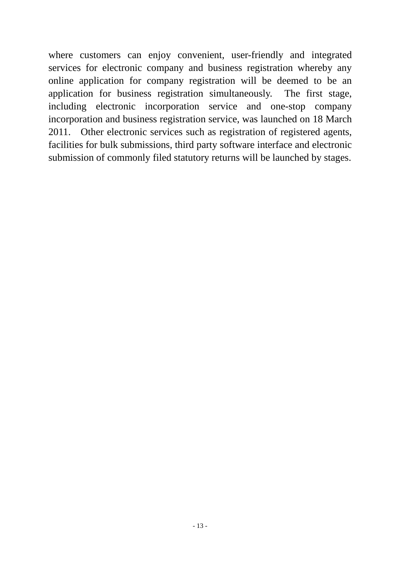where customers can enjoy convenient, user-friendly and integrated services for electronic company and business registration whereby any online application for company registration will be deemed to be an application for business registration simultaneously. The first stage, including electronic incorporation service and one-stop company incorporation and business registration service, was launched on 18 March 2011. Other electronic services such as registration of registered agents, facilities for bulk submissions, third party software interface and electronic submission of commonly filed statutory returns will be launched by stages.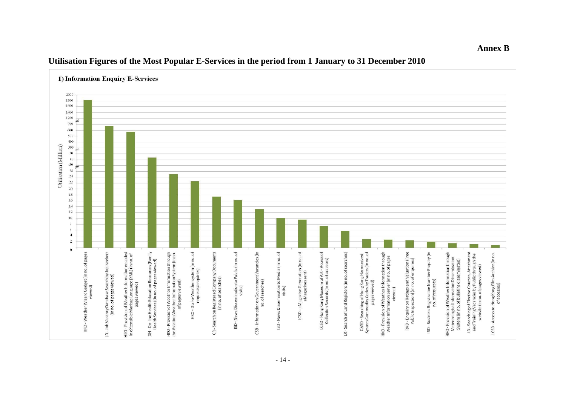

**Annex B** 

#### **Utilisation Figures of the Most Popular E-Services in the period from 1 January to 31 December 2010**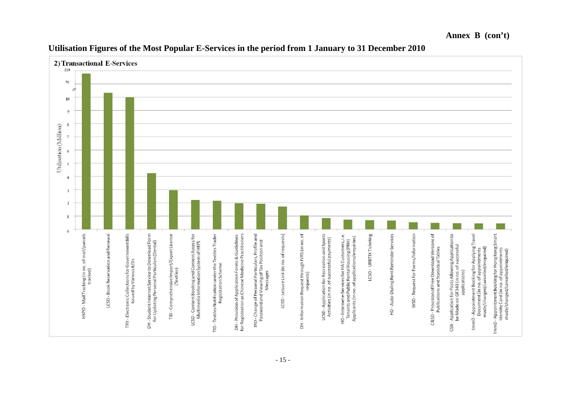

#### **Utilisation Figures of the Most Popular E-Services in the period from 1 January to 31 December 2010**